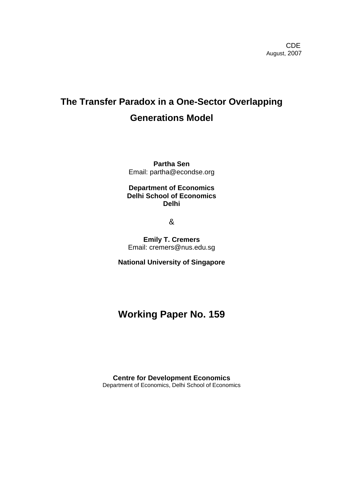## **The Transfer Paradox in a One-Sector Overlapping Generations Model**

**Partha Sen**  Email: partha@econdse.org

#### **Department of Economics Delhi School of Economics Delhi**

&

**Emily T. Cremers**  Email: cremers@nus.edu.sg

**National University of Singapore** 

### **Working Paper No. 159**

**Centre for Development Economics**  Department of Economics, Delhi School of Economics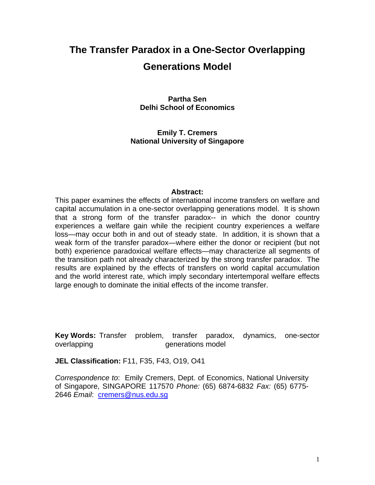# **The Transfer Paradox in a One-Sector Overlapping Generations Model**

**Partha Sen Delhi School of Economics** 

**Emily T. Cremers National University of Singapore** 

#### **Abstract:**

This paper examines the effects of international income transfers on welfare and capital accumulation in a one-sector overlapping generations model. It is shown that a strong form of the transfer paradox-- in which the donor country experiences a welfare gain while the recipient country experiences a welfare loss—may occur both in and out of steady state. In addition, it is shown that a weak form of the transfer paradox—where either the donor or recipient (but not both) experience paradoxical welfare effects—may characterize all segments of the transition path not already characterized by the strong transfer paradox. The results are explained by the effects of transfers on world capital accumulation and the world interest rate, which imply secondary intertemporal welfare effects large enough to dominate the initial effects of the income transfer.

**Key Words:** Transfer problem, transfer paradox, dynamics, one-sector overlapping and the sense overlapping sense overlapping and the sense of the sense of the sense of the sense o

**JEL Classification:** F11, F35, F43, O19, O41

*Correspondence to*: Emily Cremers, Dept. of Economics, National University of Singapore, SINGAPORE 117570 *Phone:* (65) 6874-6832 *Fax:* (65) 6775- 2646 *Email*: [cremers@nus.edu.sg](mailto:cremers@nus.edu.sg)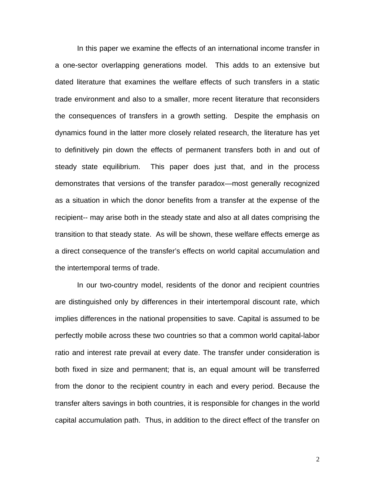In this paper we examine the effects of an international income transfer in a one-sector overlapping generations model. This adds to an extensive but dated literature that examines the welfare effects of such transfers in a static trade environment and also to a smaller, more recent literature that reconsiders the consequences of transfers in a growth setting. Despite the emphasis on dynamics found in the latter more closely related research, the literature has yet to definitively pin down the effects of permanent transfers both in and out of steady state equilibrium. This paper does just that, and in the process demonstrates that versions of the transfer paradox—most generally recognized as a situation in which the donor benefits from a transfer at the expense of the recipient-- may arise both in the steady state and also at all dates comprising the transition to that steady state. As will be shown, these welfare effects emerge as a direct consequence of the transfer's effects on world capital accumulation and the intertemporal terms of trade.

In our two-country model, residents of the donor and recipient countries are distinguished only by differences in their intertemporal discount rate, which implies differences in the national propensities to save. Capital is assumed to be perfectly mobile across these two countries so that a common world capital-labor ratio and interest rate prevail at every date. The transfer under consideration is both fixed in size and permanent; that is, an equal amount will be transferred from the donor to the recipient country in each and every period. Because the transfer alters savings in both countries, it is responsible for changes in the world capital accumulation path. Thus, in addition to the direct effect of the transfer on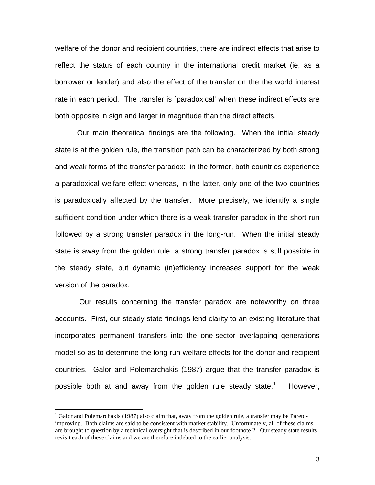welfare of the donor and recipient countries, there are indirect effects that arise to reflect the status of each country in the international credit market (ie, as a borrower or lender) and also the effect of the transfer on the the world interest rate in each period. The transfer is `paradoxical' when these indirect effects are both opposite in sign and larger in magnitude than the direct effects.

Our main theoretical findings are the following. When the initial steady state is at the golden rule, the transition path can be characterized by both strong and weak forms of the transfer paradox: in the former, both countries experience a paradoxical welfare effect whereas, in the latter, only one of the two countries is paradoxically affected by the transfer. More precisely, we identify a single sufficient condition under which there is a weak transfer paradox in the short-run followed by a strong transfer paradox in the long-run. When the initial steady state is away from the golden rule, a strong transfer paradox is still possible in the steady state, but dynamic (in)efficiency increases support for the weak version of the paradox.

Our results concerning the transfer paradox are noteworthy on three accounts. First, our steady state findings lend clarity to an existing literature that incorporates permanent transfers into the one-sector overlapping generations model so as to determine the long run welfare effects for the donor and recipient countries. Galor and Polemarchakis (1987) argue that the transfer paradox is possible both at and away from the golden rule steady state.<sup>[1](#page-3-0)</sup> However,

<span id="page-3-0"></span> $\frac{1}{1}$  $<sup>1</sup>$  Galor and Polemarchakis (1987) also claim that, away from the golden rule, a transfer may be Pareto-</sup> improving. Both claims are said to be consistent with market stability. Unfortunately, all of these claims are brought to question by a technical oversight that is described in our footnote 2. Our steady state results revisit each of these claims and we are therefore indebted to the earlier analysis.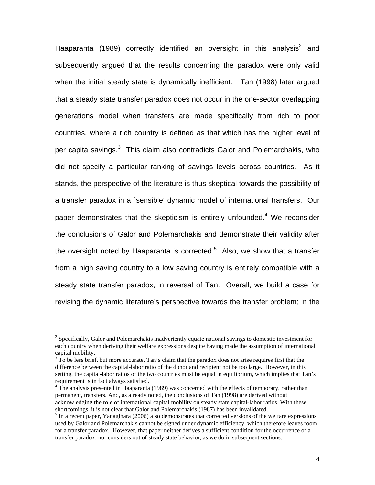Haaparanta (1989) correctly identified an oversight in this analysis<sup>[2](#page-4-0)</sup> and subsequently argued that the results concerning the paradox were only valid when the initial steady state is dynamically inefficient. Tan (1998) later argued that a steady state transfer paradox does not occur in the one-sector overlapping generations model when transfers are made specifically from rich to poor countries, where a rich country is defined as that which has the higher level of per capita savings. $3$  This claim also contradicts Galor and Polemarchakis, who did not specify a particular ranking of savings levels across countries. As it stands, the perspective of the literature is thus skeptical towards the possibility of a transfer paradox in a `sensible' dynamic model of international transfers. Our paper demonstrates that the skepticism is entirely unfounded.<sup>[4](#page-4-2)</sup> We reconsider the conclusions of Galor and Polemarchakis and demonstrate their validity after the oversight noted by Haaparanta is corrected.<sup>[5](#page-4-3)</sup> Also, we show that a transfer from a high saving country to a low saving country is entirely compatible with a steady state transfer paradox, in reversal of Tan. Overall, we build a case for revising the dynamic literature's perspective towards the transfer problem; in the

<span id="page-4-0"></span> $\frac{1}{2}$  $\alpha^2$  Specifically, Galor and Polemarchakis inadvertently equate national savings to domestic investment for each country when deriving their welfare expressions despite having made the assumption of international capital mobility.

<span id="page-4-1"></span> $3\bar{7}$  To be less brief, but more accurate, Tan's claim that the paradox does not arise requires first that the difference between the capital-labor ratio of the donor and recipient not be too large. However, in this setting, the capital-labor ratios of the two countries must be equal in equilibrium, which implies that Tan's requirement is in fact always satisfied. 4

<span id="page-4-2"></span><sup>&</sup>lt;sup>4</sup> The analysis presented in Haaparanta (1989) was concerned with the effects of temporary, rather than permanent, transfers. And, as already noted, the conclusions of Tan (1998) are derived without acknowledging the role of international capital mobility on steady state capital-labor ratios. With these shortcomings, it is not clear that Galor and Polemarchakis (1987) has been invalidated. 5

<span id="page-4-3"></span> $<sup>5</sup>$  In a recent paper, Yanagihara (2006) also demonstrates that corrected versions of the welfare expressions</sup> used by Galor and Polemarchakis cannot be signed under dynamic efficiency, which therefore leaves room for a transfer paradox. However, that paper neither derives a sufficient condition for the occurrence of a transfer paradox, nor considers out of steady state behavior, as we do in subsequent sections.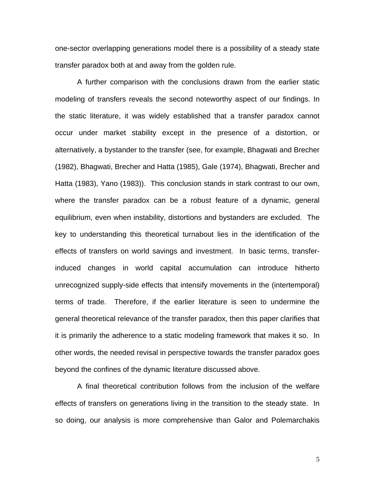one-sector overlapping generations model there is a possibility of a steady state transfer paradox both at and away from the golden rule.

A further comparison with the conclusions drawn from the earlier static modeling of transfers reveals the second noteworthy aspect of our findings. In the static literature, it was widely established that a transfer paradox cannot occur under market stability except in the presence of a distortion, or alternatively, a bystander to the transfer (see, for example, Bhagwati and Brecher (1982), Bhagwati, Brecher and Hatta (1985), Gale (1974), Bhagwati, Brecher and Hatta (1983), Yano (1983)). This conclusion stands in stark contrast to our own, where the transfer paradox can be a robust feature of a dynamic, general equilibrium, even when instability, distortions and bystanders are excluded. The key to understanding this theoretical turnabout lies in the identification of the effects of transfers on world savings and investment. In basic terms, transferinduced changes in world capital accumulation can introduce hitherto unrecognized supply-side effects that intensify movements in the (intertemporal) terms of trade. Therefore, if the earlier literature is seen to undermine the general theoretical relevance of the transfer paradox, then this paper clarifies that it is primarily the adherence to a static modeling framework that makes it so. In other words, the needed revisal in perspective towards the transfer paradox goes beyond the confines of the dynamic literature discussed above.

A final theoretical contribution follows from the inclusion of the welfare effects of transfers on generations living in the transition to the steady state. In so doing, our analysis is more comprehensive than Galor and Polemarchakis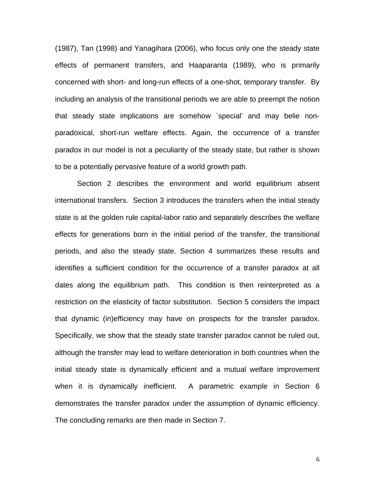(1987), Tan (1998) and Yanagihara (2006), who focus only one the steady state effects of permanent transfers, and Haaparanta (1989), who is primarily concerned with short- and long-run effects of a one-shot, temporary transfer. By including an analysis of the transitional periods we are able to preempt the notion that steady state implications are somehow `special' and may belie nonparadoxical, short-run welfare effects. Again, the occurrence of a transfer paradox in our model is not a peculiarity of the steady state, but rather is shown to be a potentially pervasive feature of a world growth path.

Section 2 describes the environment and world equilibrium absent international transfers. Section 3 introduces the transfers when the initial steady state is at the golden rule capital-labor ratio and separately describes the welfare effects for generations born in the initial period of the transfer, the transitional periods, and also the steady state. Section 4 summarizes these results and identifies a sufficient condition for the occurrence of a transfer paradox at all dates along the equilibrium path. This condition is then reinterpreted as a restriction on the elasticity of factor substitution. Section 5 considers the impact that dynamic (in)efficiency may have on prospects for the transfer paradox. Specifically, we show that the steady state transfer paradox cannot be ruled out, although the transfer may lead to welfare deterioration in both countries when the initial steady state is dynamically efficient and a mutual welfare improvement when it is dynamically inefficient. A parametric example in Section 6 demonstrates the transfer paradox under the assumption of dynamic efficiency. The concluding remarks are then made in Section 7.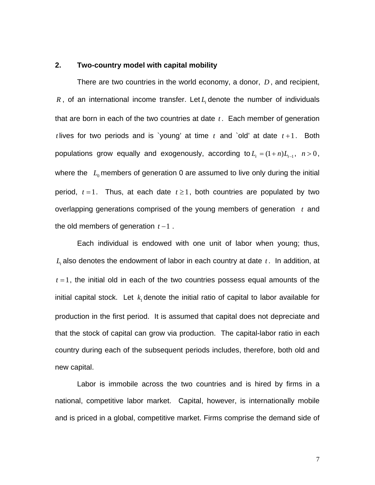#### **2. Two-country model with capital mobility**

There are two countries in the world economy, a donor, *D* , and recipient,  $R$ , of an international income transfer. Let  $L_t$  denote the number of individuals that are born in each of the two countries at date  $t$ . Each member of generation *t* lives for two periods and is `young' at time  $t$  and `old' at date  $t+1$ . Both populations grow equally and exogenously, according to  $L_t = (1 + n)L_{t-1}$ ,  $n > 0$ , where the  $L_0$  members of generation 0 are assumed to live only during the initial period,  $t = 1$ . Thus, at each date  $t \ge 1$ , both countries are populated by two overlapping generations comprised of the young members of generation  $t$  and the old members of generation *t* −1 .

Each individual is endowed with one unit of labor when young; thus,  $L_t$  also denotes the endowment of labor in each country at date  $t$ . In addition, at  $t = 1$ , the initial old in each of the two countries possess equal amounts of the initial capital stock. Let  $k_1$  denote the initial ratio of capital to labor available for production in the first period. It is assumed that capital does not depreciate and that the stock of capital can grow via production. The capital-labor ratio in each country during each of the subsequent periods includes, therefore, both old and new capital.

Labor is immobile across the two countries and is hired by firms in a national, competitive labor market. Capital, however, is internationally mobile and is priced in a global, competitive market. Firms comprise the demand side of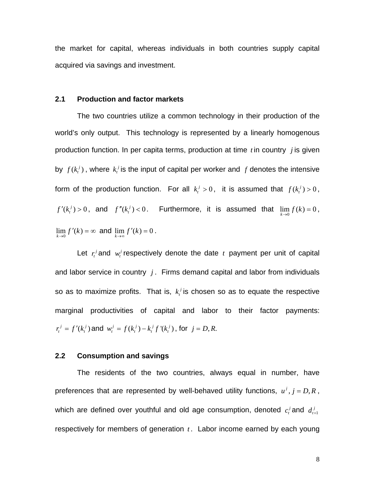the market for capital, whereas individuals in both countries supply capital acquired via savings and investment.

#### **2.1 Production and factor markets**

The two countries utilize a common technology in their production of the world's only output. This technology is represented by a linearly homogenous production function. In per capita terms, production at time  $t$  in country  $j$  is given by  $f(k_t^j)$ , where  $k_t^j$  is the input of capital per worker and  $f$  denotes the intensive form of the production function. For all  $k_i^j > 0$ , it is assumed that  $f(k_i^j) > 0$ ,  $f'(k_i^j) > 0$ , and  $f''(k_i^j) < 0$ . Furthermore, it is assumed that  $\lim_{k \to 0} f(k) = 0$ ,  $\lim_{k \to 0} f'(k) = \infty$  and  $\lim_{k \to \infty} f'(k) = 0$ .

Let  $r_t^j$  and  $w_t^j$  respectively denote the date  $t$  payment per unit of capital and labor service in country  $j$ . Firms demand capital and labor from individuals so as to maximize profits. That is,  $k_t^j$  is chosen so as to equate the respective marginal productivities of capital and labor to their factor payments:  $r_t^j = f'(k_t^j)$  and  $w_t^j = f(k_t^j) - k_t^j f'(k_t^j)$ , for  $j = D, R$ .

#### **2.2 Consumption and savings**

The residents of the two countries, always equal in number, have preferences that are represented by well-behaved utility functions,  $u^j$ ,  $j = D, R$ , which are defined over youthful and old age consumption, denoted  $c_i^j$  and  $d_{i+1}^j$ respectively for members of generation  $t$ . Labor income earned by each young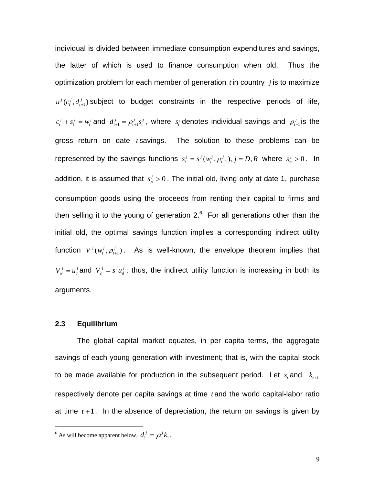individual is divided between immediate consumption expenditures and savings, the latter of which is used to finance consumption when old. Thus the optimization problem for each member of generation  $t$  in country  $j$  is to maximize  $u^j(c_i^j, d_{i+1}^j)$  subject to budget constraints in the respective periods of life,  $c_i^j + s_i^j = w_i^j$  and  $d_{i+1}^j = \rho_{i+1}^j s_i^j$ , where  $s_i^j$  denotes individual savings and  $d_{t+1}^j = \rho_{t+1}^j s_t^j$ , where  $s_t^j$  denotes individual savings and  $\rho_{t+1}^j$  is the gross return on date  $t$  savings. The solution to these problems can be represented by the savings functions  $s_t^j = s^j(w_t^j, \rho_{t+1}^j), j = D, R$  where  $s_w^j > 0$ . In addition, it is assumed that  $s_\rho^j > 0$ . The initial old, living only at date 1, purchase consumption goods using the proceeds from renting their capital to firms and then selling it to the young of generation 2. $6$  For all generations other than the initial old, the optimal savings function implies a corresponding indirect utility function  $V^{j}(w_{t}^{j}, \rho_{t+1}^{j})$ . As is well-known, the envelope theorem implies that  $V_w^j = u_c^j$  and  $V_\rho^j = s^j u_d^j$ ; thus, the indirect utility function is increasing in both its arguments.

#### **2.3 Equilibrium**

l

The global capital market equates, in per capita terms, the aggregate savings of each young generation with investment; that is, with the capital stock to be made available for production in the subsequent period. Let  $s_t$  and  $k_{t+1}$ respectively denote per capita savings at time *t* and the world capital-labor ratio at time  $t+1$ . In the absence of depreciation, the return on savings is given by

<span id="page-9-0"></span><sup>&</sup>lt;sup>6</sup> As will become apparent below,  $d_1^j = \rho_1^j k_1^j$ .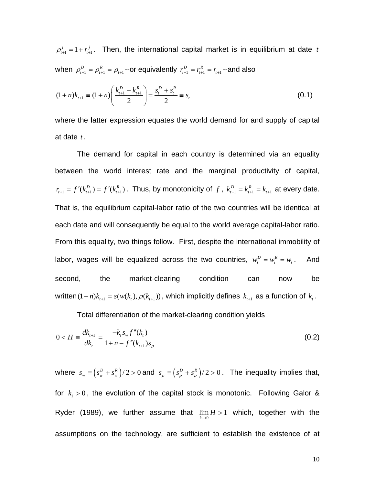$\rho_{t+1}^j = 1 + r_{t+1}^j$  $t_{t+1}$ . Then, the international capital market is in equilibrium at date  $t$ when  $\rho_{t+1}^D = \rho_{t+1}^R = \rho_{t+1}$ --or equivalently  $r_{t+1}^D = r_{t+1}^R = r_{t+1}$ --and also

<span id="page-10-0"></span>
$$
(1+n)k_{t+1} \equiv (1+n)\left(\frac{k_{t+1}^D + k_{t+1}^R}{2}\right) = \frac{s_t^D + s_t^R}{2} \equiv s_t
$$
\n(0.1)

where the latter expression equates the world demand for and supply of capital at date *t* .

 $r_{t+1} = f'(k_{t+1}^D) = f'(k_{t+1}^R)$ . Thus, by monotonicity of f,  $k_{t+1}^D = k_{t+1}^R = k_{t+1}$  at every date. The demand for capital in each country is determined via an equality between the world interest rate and the marginal productivity of capital, labor, wages will be equalized across the two countries,  $w_t^D = w_t^R = w_t$ . And written  $(1+n)k_{t+1} = s(w(k_t), \rho(k_{t+1}))$ , which implicitly defines  $k_{t+1}$  as a function of  $k_t$ . That is, the equilibrium capital-labor ratio of the two countries will be identical at each date and will consequently be equal to the world average capital-labor ratio. From this equality, two things follow. First, despite the international immobility of second, the market-clearing condition can now be

<span id="page-10-1"></span>Total differentiation of the market-clearing condition yields

$$
0 < H \equiv \frac{dk_{t+1}}{dk_t} = \frac{-k_t s_w f''(k_t)}{1 + n - f''(k_{t+1})s_\rho}
$$
(0.2)

where  $s_w = (s_w^D + s_w^R)/2 > 0$  and  $s_\rho = (s_\rho^D + s_\rho^R)/2 > 0$ . The inequality implies that, for  $k_1 > 0$ , the evolution of the capital stock is monotonic. Following Galor & Ryder (1989), we further assume that  $\lim_{k\to 0} H > 1$  which, together with the assumptions on the technology, are sufficient to establish the existence of at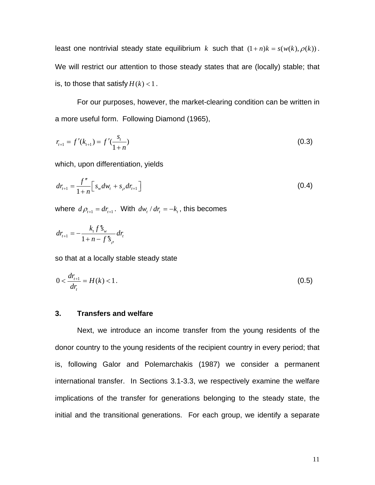least one nontrivial steady state equilibrium *k* such that  $(1+n)k = s(w(k), \rho(k))$ . We will restrict our attention to those steady states that are (locally) stable; that is, to those that satisfy  $H(k) < 1$ .

For our purposes, however, the market-clearing condition can be written in a more useful form. Following Diamond (1965),

<span id="page-11-0"></span>
$$
r_{t+1} = f'(k_{t+1}) = f'(\frac{s_t}{1+n})
$$
\n(0.3)

which, upon differentiation, yields

$$
dr_{t+1} = \frac{f''}{1+n} \Big[ s_w dw_t + s_\rho dr_{t+1} \Big]
$$
 (0.4)

*v* where  $d\rho_{t+1} = dr_{t+1}$ . With  $dw_t/dr_t = -k_t$ , this becomes

$$
dr_{t+1} = -\frac{k_t f'' s_w}{1 + n - f'' s_\rho} dr_t
$$

so that at a locally stable steady state

$$
0 < \frac{dr_{t+1}}{dr_t} = H(k) < 1. \tag{0.5}
$$

#### **3. Transfers and welfare**

Next, we introduce an income transfer from the young residents of the donor country to the young residents of the recipient country in every period; that is, following Galor and Polemarchakis (1987) we consider a permanent international transfer. In Sections 3.1-3.3, we respectively examine the welfare implications of the transfer for generations belonging to the steady state, the initial and the transitional generations. For each group, we identify a separate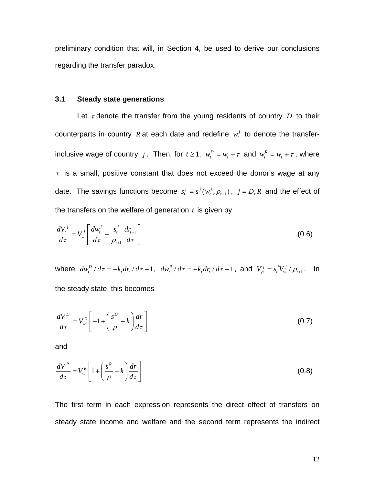preliminary condition that will, in Section 4, be used to derive our conclusions regarding the transfer paradox.

#### **3.1 Steady state generations**

Let  $\tau$  denote the transfer from the young residents of country  $D$  to their counterparts in country R at each date and redefine  $w_t^j$  to denote the transferinclusive wage of country *j*. Then, for  $t \ge 1$ ,  $w_t^D = w_t - \tau$  and  $w_t^R = w_t + \tau$ , where  $\tau$  is a small, positive constant that does not exceed the donor's wage at any date. The savings functions become  $s_t^j = s^j(w_t^j, \rho_{t+1})$ ,  $j = D, R$  and the effect of the transfers on the welfare of generation *t* is given by

<span id="page-12-1"></span>
$$
\frac{dV_t^j}{d\tau} = V_w^j \left[ \frac{dw_t^j}{d\tau} + \frac{s_t^j}{\rho_{t+1}} \frac{dr_{t+1}}{d\tau} \right]
$$
(0.6)

where  $dw_t^D/d\tau = -k_t dr_t/d\tau - 1$ ,  $dw_t^R/d\tau = -k_t dr_t/d\tau + 1$ , and  $V_\rho^j = s_t^j V_w^j/\rho_{t+1}$ . In the steady state, this becomes

<span id="page-12-0"></span>
$$
\frac{dV^D}{d\tau} = V^D_w \left[ -1 + \left( \frac{s^D}{\rho} - k \right) \frac{dr}{d\tau} \right]
$$
\n(0.7)

and

<span id="page-12-2"></span>
$$
\frac{dV^R}{d\tau} = V^R_w \left[ 1 + \left( \frac{s^R}{\rho} - k \right) \frac{dr}{d\tau} \right]
$$
 (0.8)

The first term in each expression represents the direct effect of transfers on steady state income and welfare and the second term represents the indirect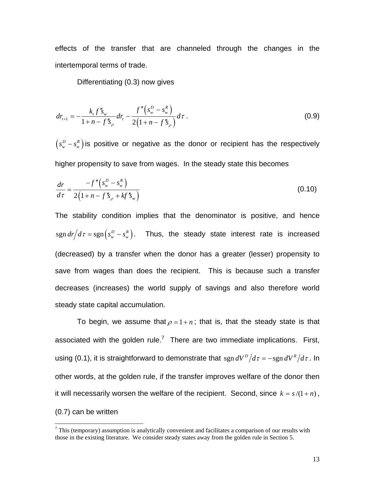effects of the transfer that are channeled through the changes in the intertemporal terms of trade.

<span id="page-13-2"></span><span id="page-13-1"></span>Differentiating [\(0.3\)](#page-11-0) now gives

$$
dr_{t+1} = -\frac{k_{t} f'' s_{w}}{1 + n - f'' s_{\rho}} dr_{t} - \frac{f'' \left(s_{w}^{D} - s_{w}^{R}\right)}{2 \left(1 + n - f'' s_{\rho}\right)} d\tau.
$$
 (0.9)

 $\left( s_{_{\rm w}}^{\it D} - s_{_{\rm w}}^{\it R} \right)$  is positive or negative as the donor or recipient has the respectively higher propensity to save from wages. In the steady state this becomes

$$
\frac{dr}{d\tau} = \frac{-f''\left(s_w^D - s_w^R\right)}{2\left(1 + n - f''s_\rho + kf''s_w\right)}\tag{0.10}
$$

The stability condition implies that the denominator is positive, and hence  $\frac{1}{2} \operatorname{sgn} dr/d\tau = \operatorname{sgn} (s_w^D - s_w^R)$ . Thus, the steady state interest rate is increased (decreased) by a transfer when the donor has a greater (lesser) propensity to save from wages than does the recipient. This is because such a transfer decreases (increases) the world supply of savings and also therefore world steady state capital accumulation.

To begin, we assume that  $\rho = 1 + n$ ; that is, that the steady state is that associated with the golden rule.<sup>[7](#page-13-0)</sup> There are two immediate implications. First, using [\(0.1\),](#page-10-0) it is straightforward to demonstrate that  $\frac{1}{2} dV^D/d\tau = -\frac{1}{2} dV^R/d\tau$ . In other words, at the golden rule, if the transfer improves welfare of the donor then it will necessarily worsen the welfare of the recipient. Second, since  $k = s/(1 + n)$ , [\(0.7\)](#page-12-0) can be written

<span id="page-13-0"></span><sup>-&</sup>lt;br>7  $\frac{7}{1}$  This (temporary) assumption is analytically convenient and facilitates a comparison of our results with those in the existing literature. We consider steady states away from the golden rule in Section 5.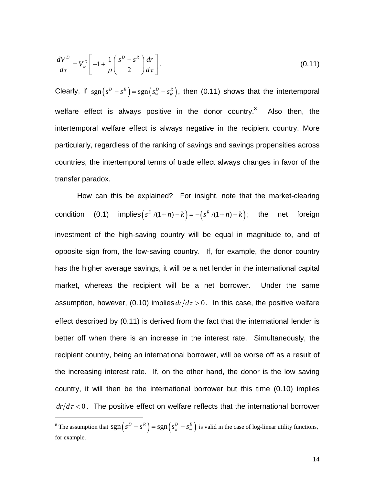<span id="page-14-0"></span>
$$
\frac{dV^D}{d\tau} = V_w^D \left[ -1 + \frac{1}{\rho} \left( \frac{s^D - s^R}{2} \right) \frac{dr}{d\tau} \right].
$$
\n(0.11)

Clearly, if  $sgn(s^D - s^R) = sgn(s_w^D - s_w^R)$ , then [\(0.11\)](#page-14-0) shows that the intertemporal welfare effect is always positive in the donor country. $8$  Also then, the intertemporal welfare effect is always negative in the recipient country. More particularly, regardless of the ranking of savings and savings propensities across countries, the intertemporal terms of trade effect always changes in favor of the transfer paradox.

How can this be explained? For insight, note that the market-clearing condition [\(0.1\)](#page-10-0) implies $(s^D/(1+n)-k) = -(s^R/(1+n)-k);$  the net foreign investment of the high-saving country will be equal in magnitude to, and of opposite sign from, the low-saving country. If, for example, the donor country has the higher average savings, it will be a net lender in the international capital market, whereas the recipient will be a net borrower. Under the same assumption, however, [\(0.10\)](#page-13-1) implies  $dr/d\tau > 0$ . In this case, the positive welfare effect described by [\(0.11\)](#page-14-0) is derived from the fact that the international lender is better off when there is an increase in the interest rate. Simultaneously, the recipient country, being an international borrower, will be worse off as a result of the increasing interest rate. If, on the other hand, the donor is the low saving country, it will then be the international borrower but this time [\(0.10\)](#page-13-1) implies  $dr/d\tau < 0$ . The positive effect on welfare reflects that the international borrower

l

<span id="page-14-1"></span><sup>&</sup>lt;sup>8</sup> The assumption that  $sgn(s^D - s^R) = sgn(s_w^D - s_w^R)$  is valid in the case of log-linear utility functions, for example.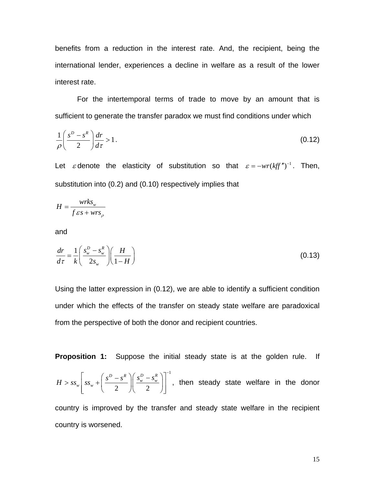benefits from a reduction in the interest rate. And, the recipient, being the international lender, experiences a decline in welfare as a result of the lower interest rate.

For the intertemporal terms of trade to move by an amount that is sufficient to generate the transfer paradox we must find conditions under which

<span id="page-15-0"></span>
$$
\frac{1}{\rho} \left( \frac{s^D - s^R}{2} \right) \frac{dr}{d\tau} > 1. \tag{0.12}
$$

Let  $\varepsilon$  denote the elasticity of substitution so that  $\varepsilon = -wr(kff'')^{-1}$ . Then, substitution into [\(0.2\)](#page-10-1) and [\(0.10\)](#page-13-1) respectively implies that

$$
H = \frac{wrks_w}{f\epsilon s + wrs_\rho}
$$

and

<span id="page-15-1"></span>
$$
\frac{dr}{d\tau} = \frac{1}{k} \left( \frac{s_w^D - s_w^R}{2s_w} \right) \left( \frac{H}{1 - H} \right) \tag{0.13}
$$

Using the latter expression in [\(0.12\),](#page-15-0) we are able to identify a sufficient condition under which the effects of the transfer on steady state welfare are paradoxical from the perspective of both the donor and recipient countries.

**Proposition 1:** Suppose the initial steady state is at the golden rule. If

1 2 八 2  $\left| \begin{array}{c} D \ -S^R \end{array} \right| \left| \begin{array}{c} S_w^D - S_w^R \end{array} \right|$  $w \mid \mathbf{^{35}w}$  $H > ss_w$   $s_s$   $s_w$   $+$   $\left( \frac{s^D - s^R}{s_w} \right) \left( \frac{s_w^D - s^R}{s_w} \right)$  $> ss_w \left[ ss_w + \left( \frac{s^D - s^R}{2} \right) \left( \frac{s_w^D - s_w^R}{2} \right) \right]^{-1}$ , then steady state welfare in the donor

country is improved by the transfer and steady state welfare in the recipient country is worsened.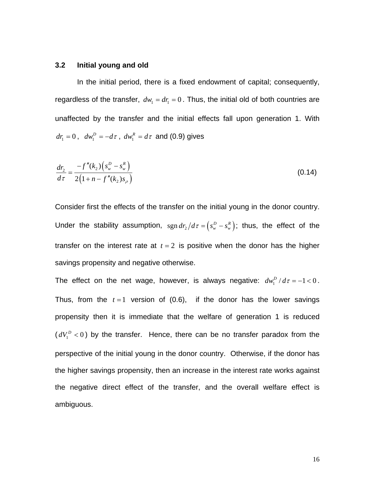#### **3.2 Initial young and old**

In the initial period, there is a fixed endowment of capital; consequently, regardless of the transfer,  $dw_1 = dr_1 = 0$ . Thus, the initial old of both countries are unaffected by the transfer and the initial effects fall upon generation 1. With  $dr_1 = 0$ ,  $dw_1^D = -d\tau$ ,  $dw_1^R = d\tau$  and [\(0.9\)](#page-13-2) gives

$$
\frac{dr_2}{d\tau} = \frac{-f''(k_2)\left(s_w^D - s_w^R\right)}{2\left(1 + n - f''(k_2)s_\rho\right)}
$$
(0.14)

Consider first the effects of the transfer on the initial young in the donor country. Under the stability assumption,  $\text{sgn } dr_2 / d\tau = (s_w^D - s_w^R)$ ; thus, the effect of the transfer on the interest rate at  $t = 2$  is positive when the donor has the higher savings propensity and negative otherwise.

The effect on the net wage, however, is always negative:  $dw_1^D/d\tau = -1 < 0$ . Thus, from the  $t = 1$  version of  $(0.6)$ , if the donor has the lower savings propensity then it is immediate that the welfare of generation 1 is reduced  $(dV_1^D < 0)$  by the transfer. Hence, there can be no transfer paradox from the perspective of the initial young in the donor country. Otherwise, if the donor has the higher savings propensity, then an increase in the interest rate works against the negative direct effect of the transfer, and the overall welfare effect is ambiguous.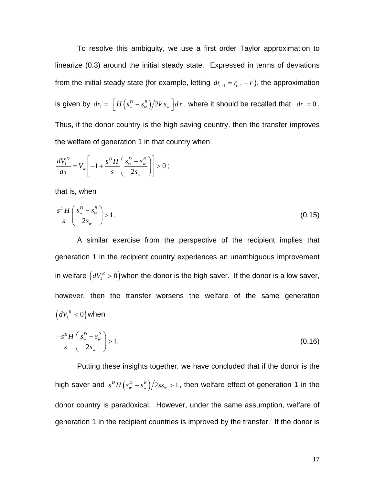To resolve this ambiguity, we use a first order Taylor approximation to linearize [\(0.3\)](#page-11-0) around the initial steady state. Expressed in terms of deviations from the initial steady state (for example, letting  $dr_{r+1} = r_{r+1} - r$ ), the approximation is given by  $dr_2 = \left\lfloor H\left(s_{_W}^D - s_{_W}^R\right)\right/2k\,s_{_W}\right\rfloor d\tau$  , where it should be recalled that  $\,\,d\mathbf{r_{_1}}=0$  . Thus, if the donor country is the high saving country, then the transfer improves the welfare of generation 1 in that country when

$$
\frac{dV_1^D}{d\tau} = V_w \left[ -1 + \frac{s^D H}{s} \left( \frac{s_w^D - s_w^R}{2s_w} \right) \right] > 0 \; ;
$$

that is, when

$$
\frac{s^D H}{s} \left( \frac{s_w^D - s_w^R}{2s_w} \right) > 1. \tag{0.15}
$$

A similar exercise from the perspective of the recipient implies that generation 1 in the recipient country experiences an unambiguous improvement in welfare  $\left(dV_{\text{\tiny I}}^{\text{\tiny R}}>0\right)$ when the donor is the high saver. If the donor is a low saver, however, then the transfer worsens the welfare of the same generation  $\left( dV_1^{\, R} < 0 \right)$  when

$$
\frac{-s^R H}{s} \left( \frac{s_w^D - s_w^R}{2s_w} \right) > 1. \tag{0.16}
$$

Putting these insights together, we have concluded that if the donor is the high saver and  $s^D H(s_w^D - s_w^R)/2ss_w > 1$ , then welfare effect of generation 1 in the donor country is paradoxical. However, under the same assumption, welfare of generation 1 in the recipient countries is improved by the transfer. If the donor is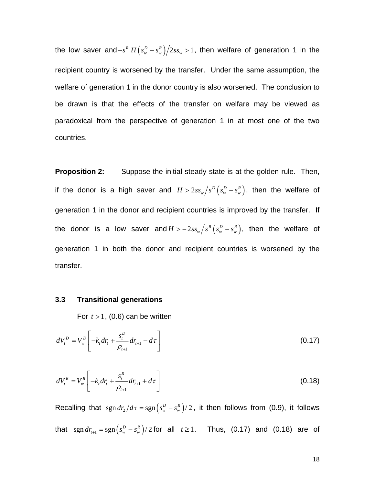the low saver and –  $s^R H ( s_w^D - s_w^R )/2ss_w > 1$ , then welfare of generation 1 in the recipient country is worsened by the transfer. Under the same assumption, the welfare of generation 1 in the donor country is also worsened. The conclusion to be drawn is that the effects of the transfer on welfare may be viewed as paradoxical from the perspective of generation 1 in at most one of the two countries.

**Proposition 2:** Suppose the initial steady state is at the golden rule. Then, if the donor is a high saver and  $H > 2ss_w / s^D \left( s_w^D - s_w^R \right)$ , then the welfare of generation 1 in the donor and recipient countries is improved by the transfer. If the donor is a low saver and  $H > -2ss_w / s^R \left( s_w^D - s_w^R \right)$ , then the welfare of generation 1 in both the donor and recipient countries is worsened by the transfer.

#### **3.3 Transitional generations**

<span id="page-18-1"></span><span id="page-18-0"></span>For  $t > 1$ , [\(0.6\)](#page-12-1) can be written

$$
dV_t^D = V_w^D \left[ -k_t dr_t + \frac{s_t^D}{\rho_{t+1}} dr_{t+1} - d\tau \right]
$$
 (0.17)

$$
dV_t^R = V_w^R \left[ -k_t dr_t + \frac{s_t^R}{\rho_{t+1}} dr_{t+1} + d\tau \right]
$$
 (0.18)

Recalling that  $\text{sgn} \, dr_2 / d\tau = \text{sgn} \left( s_w^D - s_w^R \right) / 2$ , it then follows from [\(0.9\),](#page-13-2) it follows that  $\text{sgn} \, dr_{t+1} = \text{sgn} \big( s_w^D - s_w^R \big) / 2$  for all  $t \geq 1$ . Thus, [\(0.17\)](#page-18-0) and [\(0.18\)](#page-18-1) are of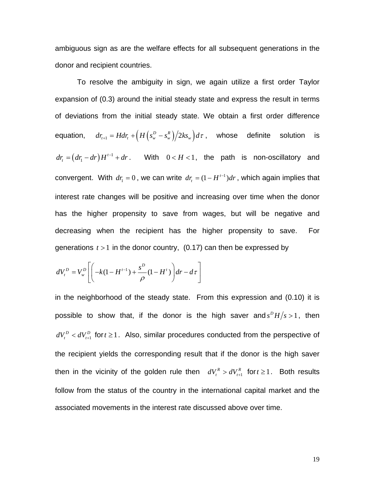ambiguous sign as are the welfare effects for all subsequent generations in the donor and recipient countries.

To resolve the ambiguity in sign, we again utilize a first order Taylor expansion of [\(0.3\)](#page-11-0) around the initial steady state and express the result in terms of deviations from the initial steady state. We obtain a first order difference equation,  $dr_{t+1} = Hdr_t + \left(H\left(s_w^D - s_w^R\right)\middle/2ks_w\right) d\tau$ , whose definite solution is  $(dr_{\rm i} - dr)H^{t-1} + dr$ . With 0  $dr_i = (dr_i - dr)H^{i-1} + dr$ . With  $0 < H < 1$ , the path is non-oscillatory and convergent. With  $dr_i = 0$ , we can write  $dr_i = (1 - H^{t-1})dr$ , which again implies that interest rate changes will be positive and increasing over time when the donor has the higher propensity to save from wages, but will be negative and decreasing when the recipient has the higher propensity to save. For generations  $t > 1$  in the donor country,  $(0.17)$  can then be expressed by

$$
dV_t^D = V_w^D \left[ \left( -k(1 - H^{t-1}) + \frac{s^D}{\rho} (1 - H^t) \right) dr - d\tau \right]
$$

in the neighborhood of the steady state. From this expression and [\(0.10\)](#page-13-1) it is possible to show that, if the donor is the high saver and  $s^D H/s > 1$ , then 1  $dV_t^D < dV_{t+1}^D$  for  $t \geq 1$ . Also, similar procedures conducted from the perspective of the recipient yields the corresponding result that if the donor is the high saver then in the vicinity of the golden rule then  $dV_t^R > dV_{t+1}^R$  $dV_t^R > dV_{t+1}^R$  for  $t \ge 1$ . Both results follow from the status of the country in the international capital market and the associated movements in the interest rate discussed above over time.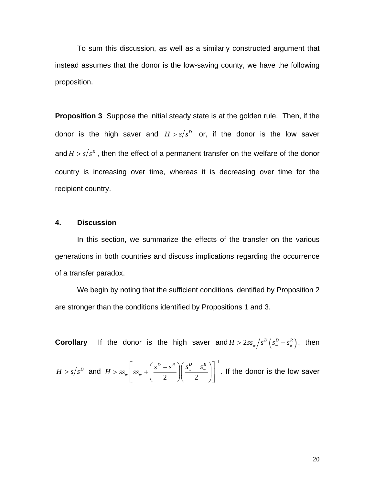To sum this discussion, as well as a similarly constructed argument that instead assumes that the donor is the low-saving county, we have the following proposition.

**Proposition 3** Suppose the initial steady state is at the golden rule. Then, if the donor is the high saver and  $H > s/s^D$  or, if the donor is the low saver and  $H > s/s^R$ , then the effect of a permanent transfer on the welfare of the donor country is increasing over time, whereas it is decreasing over time for the recipient country.

#### **4. Discussion**

In this section, we summarize the effects of the transfer on the various generations in both countries and discuss implications regarding the occurrence of a transfer paradox.

We begin by noting that the sufficient conditions identified by Proposition 2 are stronger than the conditions identified by Propositions 1 and 3.

**Corollary** If the donor is the high saver and  $H > 2ss_w / s^D (s_w^D - s_w^R)$ , then

$$
H > s/s^D \text{ and } H > ss_w \left[ ss_w + \left( \frac{s^D - s^R}{2} \right) \left( \frac{s_w^D - s_w^R}{2} \right) \right]^{-1}.
$$
 If the donor is the low saver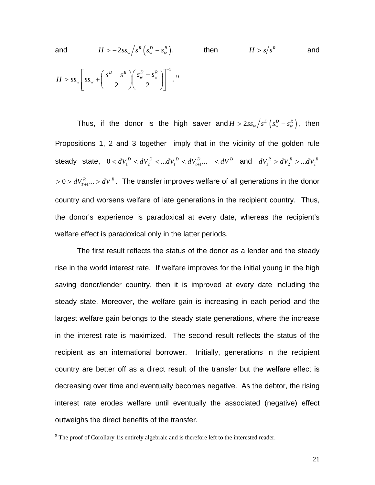and 
$$
H > -2ss_w \left(s_w^R \left(s_w^D - s_w^R\right)\right)
$$
, then  $H > s \left(s_w^R\right)$  and   
 $H > ss_w \left[ss_w + \left(\frac{s^D - s^R}{2}\right) \left(\frac{s_w^D - s_w^R}{2}\right)\right]^{-1}$ .

Thus, if the donor is the high saver and  $H > 2ss_w \big/s^D \left(s_w^D - s_w^R\right)$ , then  $1$  steady state,  $0 < dV_1^D < dV_2^D < ... dV_t^D < dV_{t+1}^D ... < dV^D$  and  $dV_1^R > dV_2^R > ... dV_t^R$ Propositions 1, 2 and 3 together imply that in the vicinity of the golden rule  $>0$   $>$   $dV_{T+1}^R...$   $>$   $dV^R$  . The transfer improves welfare of all generations in the donor country and worsens welfare of late generations in the recipient country. Thus, the donor's experience is paradoxical at every date, whereas the recipient's welfare effect is paradoxical only in the latter periods.

The first result reflects the status of the donor as a lender and the steady rise in the world interest rate. If welfare improves for the initial young in the high saving donor/lender country, then it is improved at every date including the steady state. Moreover, the welfare gain is increasing in each period and the largest welfare gain belongs to the steady state generations, where the increase in the interest rate is maximized. The second result reflects the status of the recipient as an international borrower. Initially, generations in the recipient country are better off as a direct result of the transfer but the welfare effect is decreasing over time and eventually becomes negative. As the debtor, the rising interest rate erodes welfare until eventually the associated (negative) effect outweighs the direct benefits of the transfer.

<sup>&</sup>lt;sup>9</sup> The proof of Corollary 1 is entirely algebraic and is therefore left to the interested reader.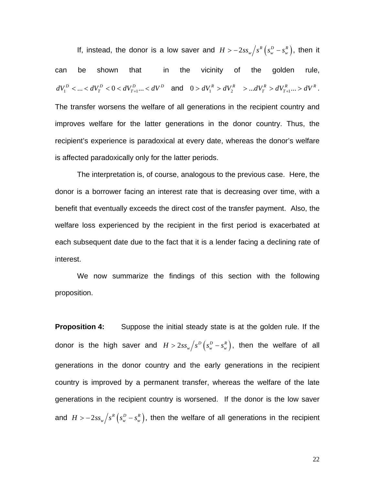If, instead, the donor is a low saver and  $H > -2ss_w / s^R \left( s_w^D - s_w^R \right)$ , then it can be shown that in the vicinity of the golden rule,  $dV_1^D < ... < dV_T^D < 0 < dV_{T+1}^D ... < dV^D$  and  $0 > dV_1^R > dV_2^R > ... dV_T^R > dV_{T+1}^R ... > dV^R$ . The transfer worsens the welfare of all generations in the recipient country and improves welfare for the latter generations in the donor country. Thus, the recipient's experience is paradoxical at every date, whereas the donor's welfare is affected paradoxically only for the latter periods.

The interpretation is, of course, analogous to the previous case. Here, the donor is a borrower facing an interest rate that is decreasing over time, with a benefit that eventually exceeds the direct cost of the transfer payment. Also, the welfare loss experienced by the recipient in the first period is exacerbated at each subsequent date due to the fact that it is a lender facing a declining rate of interest.

We now summarize the findings of this section with the following proposition.

**Proposition 4:** Suppose the initial steady state is at the golden rule. If the donor is the high saver and  $H > 2 s s_w \big/ s^D \left( s_w^D - s_w^R \right)$ , then the welfare of all and  $H > -2ss_w/s^R(s_w^D-s_w^R)$ , then the welfare of all generations in the recipient generations in the donor country and the early generations in the recipient country is improved by a permanent transfer, whereas the welfare of the late generations in the recipient country is worsened. If the donor is the low saver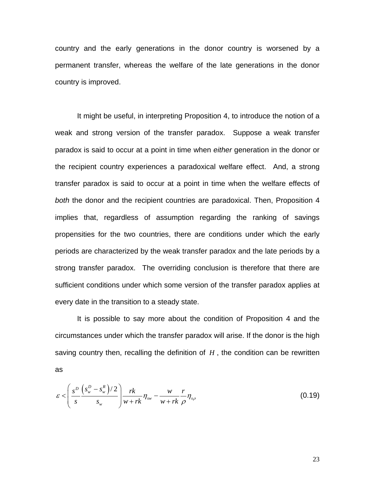country and the early generations in the donor country is worsened by a permanent transfer, whereas the welfare of the late generations in the donor country is improved.

It might be useful, in interpreting Proposition 4, to introduce the notion of a weak and strong version of the transfer paradox. Suppose a weak transfer paradox is said to occur at a point in time when *either* generation in the donor or the recipient country experiences a paradoxical welfare effect. And, a strong transfer paradox is said to occur at a point in time when the welfare effects of *both* the donor and the recipient countries are paradoxical. Then, Proposition 4 implies that, regardless of assumption regarding the ranking of savings propensities for the two countries, there are conditions under which the early periods are characterized by the weak transfer paradox and the late periods by a strong transfer paradox. The overriding conclusion is therefore that there are sufficient conditions under which some version of the transfer paradox applies at every date in the transition to a steady state.

It is possible to say more about the condition of Proposition 4 and the circumstances under which the transfer paradox will arise. If the donor is the high saving country then, recalling the definition of *H* , the condition can be rewritten as

$$
\varepsilon < \left(\frac{s^D}{s}\frac{\left(s_w^D - s_w^R\right)/2}{s_w}\right) \frac{rk}{w + rk} \eta_{sw} - \frac{w}{w + rk} \frac{r}{\rho} \eta_{sp}
$$
(0.19)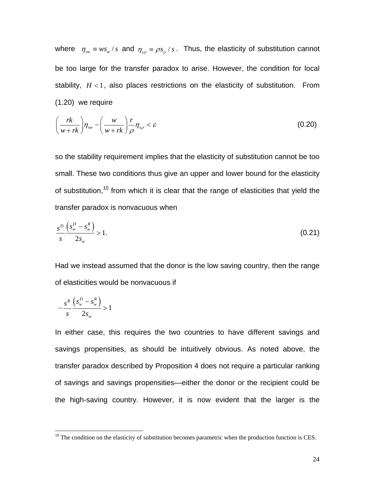where  $\eta_{sw} \equiv ws_w / s$  and  $\eta_{sp} \equiv \rho s_p / s$ . Thus, the elasticity of substitution cannot be too large for the transfer paradox to arise. However, the condition for local stability,  $H < 1$ , also places restrictions on the elasticity of substitution. From [\(1.20\)](#page-24-0) we require

<span id="page-24-0"></span>
$$
\left(\frac{rk}{w+rk}\right)\eta_{sw} - \left(\frac{w}{w+rk}\right)\frac{r}{\rho}\eta_{s\rho} < \varepsilon \tag{0.20}
$$

so the stability requirement implies that the elasticity of substitution cannot be too small. These two conditions thus give an upper and lower bound for the elasticity of substitution,<sup>10</sup> from which it is clear that the range of elasticities that yield the transfer paradox is nonvacuous when

$$
\frac{s^D}{s} \frac{\left(s_w^D - s_w^R\right)}{2s_w} > 1.
$$
\n(0.21)

Had we instead assumed that the donor is the low saving country, then the range of elasticities would be nonvacuous if

$$
-\frac{s^R}{s}\frac{\left(s_w^D-s_w^R\right)}{2s_w}>1
$$

In either case, this requires the two countries to have different savings and savings propensities, as should be intuitively obvious. As noted above, the transfer paradox described by Proposition 4 does not require a particular ranking of savings and savings propensities—either the donor or the recipient could be the high-saving country. However, it is now evident that the larger is the

<span id="page-24-1"></span> $10$  The condition on the elasticity of substitution becomes parametric when the production function is CES.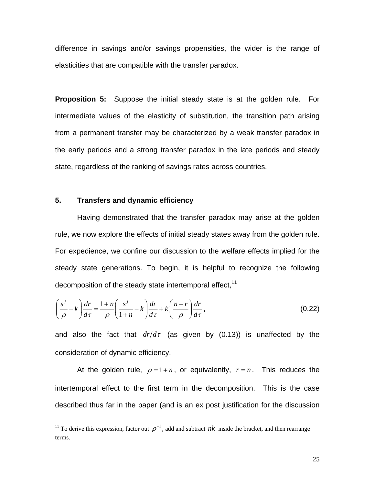difference in savings and/or savings propensities, the wider is the range of elasticities that are compatible with the transfer paradox.

**Proposition 5:** Suppose the initial steady state is at the golden rule. For intermediate values of the elasticity of substitution, the transition path arising from a permanent transfer may be characterized by a weak transfer paradox in the early periods and a strong transfer paradox in the late periods and steady state, regardless of the ranking of savings rates across countries.

#### **5. Transfers and dynamic efficiency**

Having demonstrated that the transfer paradox may arise at the golden rule, we now explore the effects of initial steady states away from the golden rule. For expedience, we confine our discussion to the welfare effects implied for the steady state generations. To begin, it is helpful to recognize the following decomposition of the steady state intertemporal effect,  $11$ 

<span id="page-25-1"></span>
$$
\left(\frac{s^{j}}{\rho}-k\right)\frac{dr}{d\tau}=\frac{1+n}{\rho}\left(\frac{s^{j}}{1+n}-k\right)\frac{dr}{d\tau}+k\left(\frac{n-r}{\rho}\right)\frac{dr}{d\tau},
$$
\n(0.22)

and also the fact that  $dr/d\tau$  (as given by [\(0.13\)\)](#page-15-1) is unaffected by the consideration of dynamic efficiency.

At the golden rule,  $\rho = 1 + n$ , or equivalently,  $r = n$ . This reduces the intertemporal effect to the first term in the decomposition. This is the case described thus far in the paper (and is an ex post justification for the discussion

<span id="page-25-0"></span><sup>&</sup>lt;sup>11</sup> To derive this expression, factor out  $\rho^{-1}$ , add and subtract *nk* inside the bracket, and then rearrange terms.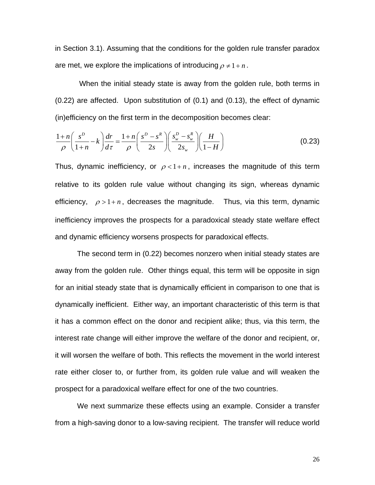in Section 3.1). Assuming that the conditions for the golden rule transfer paradox are met, we explore the implications of introducing  $\rho \neq 1+n$ .

 When the initial steady state is away from the golden rule, both terms in [\(0.22\)](#page-25-1) are affected. Upon substitution of [\(0.1\)](#page-10-0) and [\(0.13\),](#page-15-1) the effect of dynamic (in)efficiency on the first term in the decomposition becomes clear:

$$
\frac{1+n}{\rho} \left( \frac{s^D}{1+n} - k \right) \frac{dr}{d\tau} = \frac{1+n}{\rho} \left( \frac{s^D - s^R}{2s} \right) \left( \frac{s_w^D - s_w^R}{2s_w} \right) \left( \frac{H}{1-H} \right) \tag{0.23}
$$

Thus, dynamic inefficiency, or  $\rho < 1+n$ , increases the magnitude of this term relative to its golden rule value without changing its sign, whereas dynamic efficiency,  $\rho > 1 + n$ , decreases the magnitude. Thus, via this term, dynamic inefficiency improves the prospects for a paradoxical steady state welfare effect and dynamic efficiency worsens prospects for paradoxical effects.

The second term in [\(0.22\)](#page-25-1) becomes nonzero when initial steady states are away from the golden rule. Other things equal, this term will be opposite in sign for an initial steady state that is dynamically efficient in comparison to one that is dynamically inefficient. Either way, an important characteristic of this term is that it has a common effect on the donor and recipient alike; thus, via this term, the interest rate change will either improve the welfare of the donor and recipient, or, it will worsen the welfare of both. This reflects the movement in the world interest rate either closer to, or further from, its golden rule value and will weaken the prospect for a paradoxical welfare effect for one of the two countries.

We next summarize these effects using an example. Consider a transfer from a high-saving donor to a low-saving recipient. The transfer will reduce world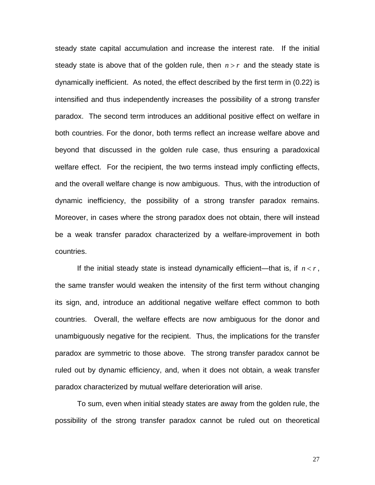steady state capital accumulation and increase the interest rate. If the initial steady state is above that of the golden rule, then  $n > r$  and the steady state is dynamically inefficient. As noted, the effect described by the first term in [\(0.22\)](#page-25-1) is intensified and thus independently increases the possibility of a strong transfer paradox. The second term introduces an additional positive effect on welfare in both countries. For the donor, both terms reflect an increase welfare above and beyond that discussed in the golden rule case, thus ensuring a paradoxical welfare effect. For the recipient, the two terms instead imply conflicting effects, and the overall welfare change is now ambiguous. Thus, with the introduction of dynamic inefficiency, the possibility of a strong transfer paradox remains. Moreover, in cases where the strong paradox does not obtain, there will instead be a weak transfer paradox characterized by a welfare-improvement in both countries.

If the initial steady state is instead dynamically efficient—that is, if  $n < r$ , the same transfer would weaken the intensity of the first term without changing its sign, and, introduce an additional negative welfare effect common to both countries. Overall, the welfare effects are now ambiguous for the donor and unambiguously negative for the recipient. Thus, the implications for the transfer paradox are symmetric to those above. The strong transfer paradox cannot be ruled out by dynamic efficiency, and, when it does not obtain, a weak transfer paradox characterized by mutual welfare deterioration will arise.

 To sum, even when initial steady states are away from the golden rule, the possibility of the strong transfer paradox cannot be ruled out on theoretical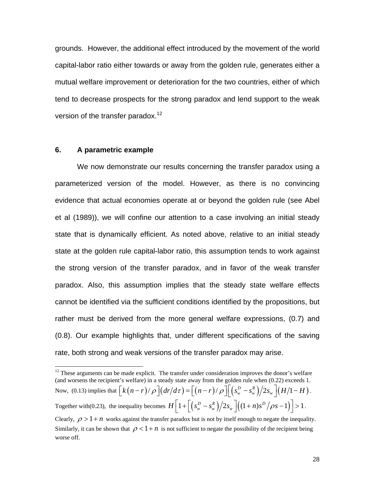grounds. However, the additional effect introduced by the movement of the world capital-labor ratio either towards or away from the golden rule, generates either a mutual welfare improvement or deterioration for the two countries, either of which tend to decrease prospects for the strong paradox and lend support to the weak version of the transfer paradox.<sup>12</sup>

#### **6. A parametric example**

We now demonstrate our results concerning the transfer paradox using a parameterized version of the model. However, as there is no convincing evidence that actual economies operate at or beyond the golden rule (see Abel et al (1989)), we will confine our attention to a case involving an initial steady state that is dynamically efficient. As noted above, relative to an initial steady state at the golden rule capital-labor ratio, this assumption tends to work against the strong version of the transfer paradox, and in favor of the weak transfer paradox. Also, this assumption implies that the steady state welfare effects cannot be identified via the sufficient conditions identified by the propositions, but rather must be derived from the more general welfare expressions, [\(0.7\)](#page-12-0) and [\(0.8\).](#page-12-2) Our example highlights that, under different specifications of the saving rate, both strong and weak versions of the transfer paradox may arise.

<span id="page-28-0"></span> $12$  These arguments can be made explicit. The transfer under consideration improves the donor's welfare (and worsens the recipient's welfare) in a steady state away from the golden rule when (0.22) exceeds 1. Now, (0.13) implies that  $\left[ k(n-r)/\rho \right] \left( dr/d\tau \right) = \left[ \left( n-r \right) / \rho \right] \left[ \left( s_w^D - s_w^R \right) \middle/ 2s_w \right] \left( H/1 - H \right)$ . Together with(0.23), the inequality becomes  $H\left[1+\left[\left(s_w^D-s_w^R\right)/2s_w\right]\left((1+n)s^D\left/\rho s-1\right)\right]\right]>1$ . Clearly,  $\rho > 1 + n$  works against the transfer paradox but is not by itself enough to negate the inequality. Similarly, it can be shown that  $\rho < 1 + n$  is not sufficient to negate the possibility of the recipient being worse off.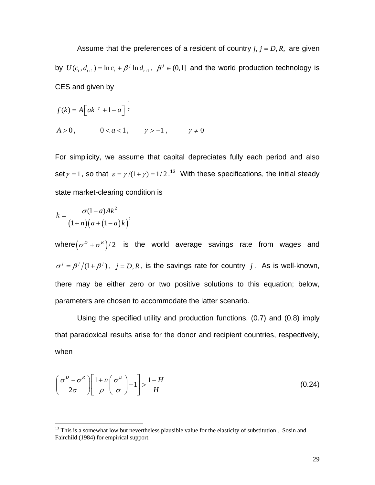Assume that the preferences of a resident of country  $j, j = D, R$ , are given by  $U(c_t, d_{t+1}) = \ln c_t + \beta^j \ln d_{t+1}$ ,  $\beta^j \in (0,1]$  and the world production technology is CES and given by

$$
f(k) = A \left[ ak^{-\gamma} + 1 - a \right]^{-\frac{1}{\gamma}}
$$
  

$$
A > 0, \qquad 0 < a < 1, \qquad \gamma > -1, \qquad \gamma \neq 0
$$

For simplicity, we assume that capital depreciates fully each period and also set  $\gamma = 1$ , so that  $\varepsilon = \gamma/(1 + \gamma) = 1/2$ .<sup>13</sup> With these specifications, the initial steady state market-clearing condition is

$$
k = \frac{\sigma(1-a)Ak^2}{(1+n)\big(a+(1-a)k\big)^2}
$$

l

where $(\sigma^D + \sigma^R)/2$  is the world average savings rate from wages and  $\sigma^{j} = \beta^{j}/(1 + \beta^{j})$ ,  $j = D, R$ , is the savings rate for country *j*. As is well-known, there may be either zero or two positive solutions to this equation; below, parameters are chosen to accommodate the latter scenario.

Using the specified utility and production functions, [\(0.7\)](#page-12-0) and [\(0.8\)](#page-12-2) imply that paradoxical results arise for the donor and recipient countries, respectively, when

<span id="page-29-1"></span>
$$
\left(\frac{\sigma^D - \sigma^R}{2\sigma}\right) \left[\frac{1 + n}{\rho} \left(\frac{\sigma^D}{\sigma}\right) - 1\right] > \frac{1 - H}{H} \tag{0.24}
$$

<span id="page-29-0"></span> $<sup>13</sup>$  This is a somewhat low but nevertheless plausible value for the elasticity of substitution. Sosin and</sup> Fairchild (1984) for empirical support.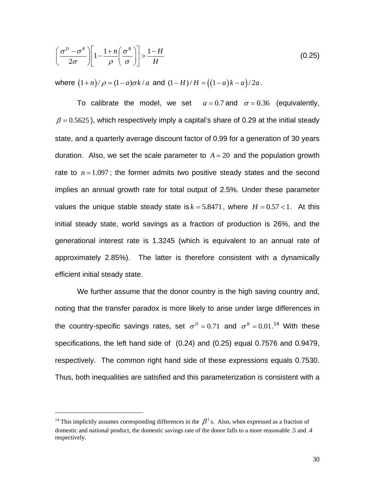<span id="page-30-0"></span>
$$
\left(\frac{\sigma^D - \sigma^R}{2\sigma}\right) \left[1 - \frac{1 + n}{\rho} \left(\frac{\sigma^R}{\sigma}\right)\right] > \frac{1 - H}{H} \tag{0.25}
$$

*where*  $(1+n)/\rho = (1-a)\sigma k/a$  and  $(1-H)/H = ((1-a)k-a)/2a$ .

To calibrate the model, we set  $a = 0.7$  and  $\sigma = 0.36$  (equivalently,  $\beta$  = 0.5625), which respectively imply a capital's share of 0.29 at the initial steady state, and a quarterly average discount factor of 0.99 for a generation of 30 years duration. Also, we set the scale parameter to  $A = 20$  and the population growth rate to  $n = 1.097$ ; the former admits two positive steady states and the second implies an annual growth rate for total output of 2.5%. Under these parameter values the unique stable steady state is  $k = 5.8471$ , where  $H = 0.57 < 1$ . At this initial steady state, world savings as a fraction of production is 26%, and the generational interest rate is 1.3245 (which is equivalent to an annual rate of approximately 2.85%). The latter is therefore consistent with a dynamically efficient initial steady state.

We further assume that the donor country is the high saving country and, noting that the transfer paradox is more likely to arise under large differences in the country-specific savings rates, set  $\sigma^D = 0.71$  and  $\sigma^R = 0.01$ .<sup>14</sup> With these specifications, the left hand side of [\(0.24\)](#page-29-1) and [\(0.25\)](#page-30-0) equal 0.7576 and 0.9479, respectively. The common right hand side of these expressions equals 0.7530. Thus, both inequalities are satisfied and this parameterization is consistent with a

l

<span id="page-30-1"></span><sup>&</sup>lt;sup>14</sup> This implicitly assumes corresponding differences in the  $\beta^{j}$  s. Also, when expressed as a fraction of domestic and national product, the domestic savings rate of the donor falls to a more reasonable .5 and .4 respectively.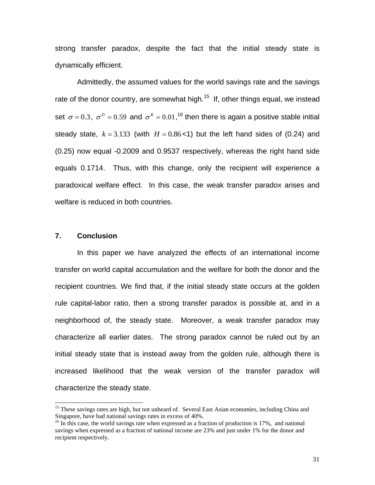strong transfer paradox, despite the fact that the initial steady state is dynamically efficient.

Admittedly, the assumed values for the world savings rate and the savings rate of the donor country, are somewhat high.<sup>15</sup> If, other things equal, we instead set  $\sigma = 0.3$ ,  $\sigma^D = 0.59$  and  $\sigma^R = 0.01$ , <sup>16</sup> then there is again a positive stable initial steady state,  $k = 3.133$  (with  $H = 0.86 < 1$ ) but the left hand sides of [\(0.24\)](#page-29-1) and [\(0.25\)](#page-30-0) now equal -0.2009 and 0.9537 respectively, whereas the right hand side equals 0.1714. Thus, with this change, only the recipient will experience a paradoxical welfare effect. In this case, the weak transfer paradox arises and welfare is reduced in both countries.

#### **7. Conclusion**

In this paper we have analyzed the effects of an international income transfer on world capital accumulation and the welfare for both the donor and the recipient countries. We find that, if the initial steady state occurs at the golden rule capital-labor ratio, then a strong transfer paradox is possible at, and in a neighborhood of, the steady state. Moreover, a weak transfer paradox may characterize all earlier dates. The strong paradox cannot be ruled out by an initial steady state that is instead away from the golden rule, although there is increased likelihood that the weak version of the transfer paradox will characterize the steady state.

<span id="page-31-0"></span><sup>&</sup>lt;sup>15</sup> These savings rates are high, but not unheard of. Several East Asian economies, including China and Singapore, have had national savings rates in excess of 40%.

<span id="page-31-1"></span> $^{16}$  In this case, the world savings rate when expressed as a fraction of production is 17%, and national savings when expressed as a fraction of national income are 23% and just under 1% for the donor and recipient respectively.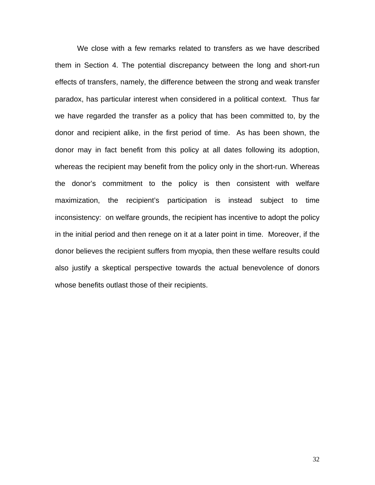We close with a few remarks related to transfers as we have described them in Section 4. The potential discrepancy between the long and short-run effects of transfers, namely, the difference between the strong and weak transfer paradox, has particular interest when considered in a political context. Thus far we have regarded the transfer as a policy that has been committed to, by the donor and recipient alike, in the first period of time. As has been shown, the donor may in fact benefit from this policy at all dates following its adoption, whereas the recipient may benefit from the policy only in the short-run. Whereas the donor's commitment to the policy is then consistent with welfare maximization, the recipient's participation is instead subject to time inconsistency: on welfare grounds, the recipient has incentive to adopt the policy in the initial period and then renege on it at a later point in time. Moreover, if the donor believes the recipient suffers from myopia, then these welfare results could also justify a skeptical perspective towards the actual benevolence of donors whose benefits outlast those of their recipients.